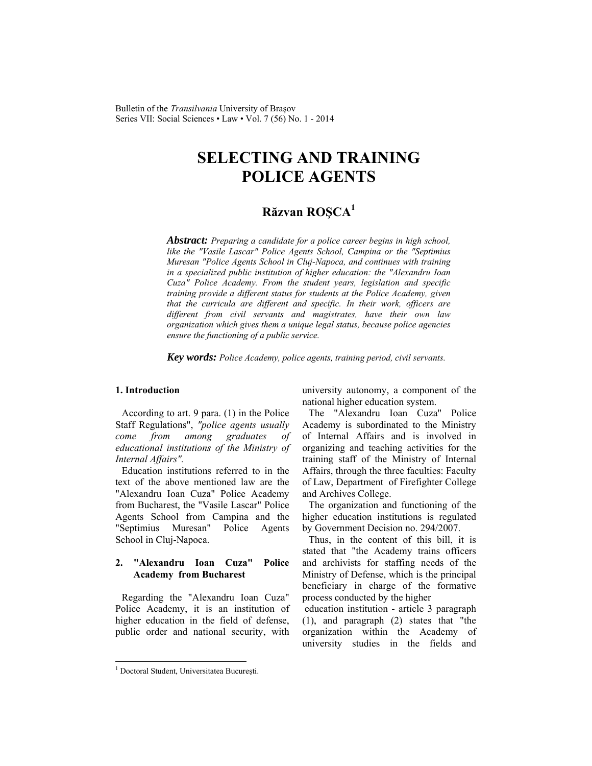Bulletin of the *Transilvania* University of Braşov Series VII: Social Sciences • Law • Vol. 7 (56) No. 1 - 2014

# **SELECTING AND TRAINING POLICE AGENTS**

# **Răzvan ROŞCA<sup>1</sup>**

*Abstract: Preparing a candidate for a police career begins in high school, like the "Vasile Lascar" Police Agents School, Campina or the "Septimius Muresan "Police Agents School in Cluj-Napoca, and continues with training in a specialized public institution of higher education: the "Alexandru Ioan Cuza" Police Academy. From the student years, legislation and specific training provide a different status for students at the Police Academy, given that the curricula are different and specific. In their work, officers are different from civil servants and magistrates, have their own law organization which gives them a unique legal status, because police agencies ensure the functioning of a public service.* 

*Key words: Police Academy, police agents, training period, civil servants.* 

#### **1. Introduction**

According to art. 9 para. (1) in the Police Staff Regulations", *"police agents usually come from among graduates of educational institutions of the Ministry of Internal Affairs".*

Education institutions referred to in the text of the above mentioned law are the "Alexandru Ioan Cuza" Police Academy from Bucharest, the "Vasile Lascar" Police Agents School from Campina and the "Septimius Muresan" Police Agents School in Cluj-Napoca.

#### **2. "Alexandru Ioan Cuza" Police Academy from Bucharest**

Regarding the "Alexandru Ioan Cuza" Police Academy, it is an institution of higher education in the field of defense, public order and national security, with university autonomy, a component of the national higher education system.

The "Alexandru Ioan Cuza" Police Academy is subordinated to the Ministry of Internal Affairs and is involved in organizing and teaching activities for the training staff of the Ministry of Internal Affairs, through the three faculties: Faculty of Law, Department of Firefighter College and Archives College.

The organization and functioning of the higher education institutions is regulated by Government Decision no. 294/2007.

Thus, in the content of this bill, it is stated that "the Academy trains officers and archivists for staffing needs of the Ministry of Defense, which is the principal beneficiary in charge of the formative process conducted by the higher

 education institution - article 3 paragraph (1), and paragraph (2) states that "the organization within the Academy of university studies in the fields and

l

<sup>1</sup> Doctoral Student, Universitatea Bucureşti.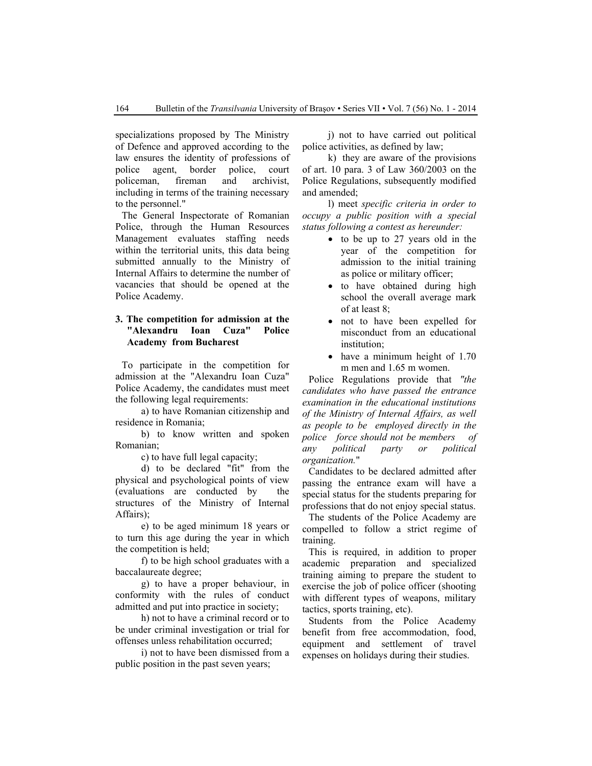specializations proposed by The Ministry of Defence and approved according to the law ensures the identity of professions of police agent, border police, court policeman, fireman and archivist, including in terms of the training necessary to the personnel."

The General Inspectorate of Romanian Police, through the Human Resources Management evaluates staffing needs within the territorial units, this data being submitted annually to the Ministry of Internal Affairs to determine the number of vacancies that should be opened at the Police Academy.

## **3. The competition for admission at the "Alexandru Ioan Cuza" Police Academy from Bucharest**

To participate in the competition for admission at the "Alexandru Ioan Cuza" Police Academy, the candidates must meet the following legal requirements:

a) to have Romanian citizenship and residence in Romania;

b) to know written and spoken Romanian;

c) to have full legal capacity;

d) to be declared "fit" from the physical and psychological points of view (evaluations are conducted by the structures of the Ministry of Internal Affairs);

e) to be aged minimum 18 years or to turn this age during the year in which the competition is held;

f) to be high school graduates with a baccalaureate degree;

g) to have a proper behaviour, in conformity with the rules of conduct admitted and put into practice in society;

h) not to have a criminal record or to be under criminal investigation or trial for offenses unless rehabilitation occurred;

i) not to have been dismissed from a public position in the past seven years;

j) not to have carried out political police activities, as defined by law;

k) they are aware of the provisions of art. 10 para. 3 of Law 360/2003 on the Police Regulations, subsequently modified and amended;

l) meet *specific criteria in order to occupy a public position with a special status following a contest as hereunder:*

- to be up to 27 years old in the year of the competition for admission to the initial training as police or military officer;
- to have obtained during high school the overall average mark of at least 8;
- not to have been expelled for misconduct from an educational institution;
- have a minimum height of 1.70 m men and 1.65 m women.

Police Regulations provide that *"the candidates who have passed the entrance examination in the educational institutions of the Ministry of Internal Affairs, as well as people to be employed directly in the police force should not be members of any political party or political organization.*"

Candidates to be declared admitted after passing the entrance exam will have a special status for the students preparing for professions that do not enjoy special status.

The students of the Police Academy are compelled to follow a strict regime of training.

This is required, in addition to proper academic preparation and specialized training aiming to prepare the student to exercise the job of police officer (shooting with different types of weapons, military tactics, sports training, etc).

Students from the Police Academy benefit from free accommodation, food, equipment and settlement of travel expenses on holidays during their studies.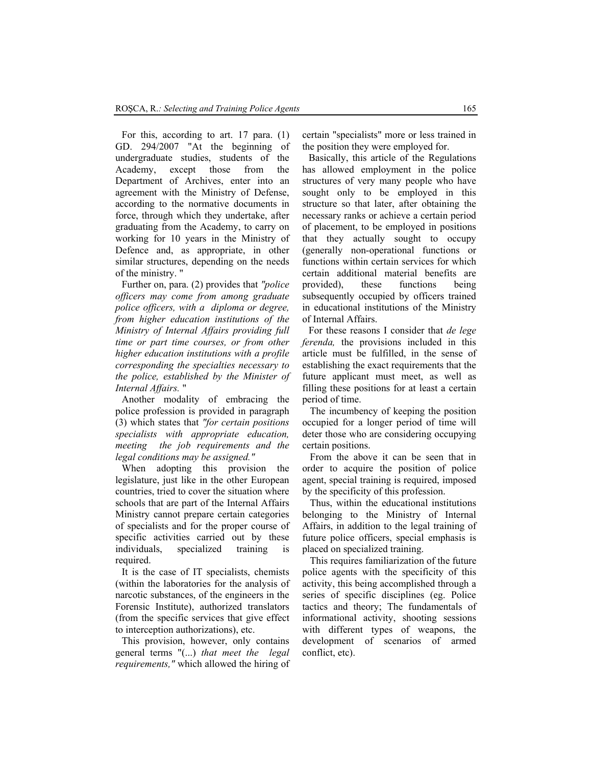For this, according to art. 17 para. (1) GD. 294/2007 "At the beginning of undergraduate studies, students of the Academy, except those from the Department of Archives, enter into an agreement with the Ministry of Defense, according to the normative documents in force, through which they undertake, after graduating from the Academy, to carry on working for 10 years in the Ministry of Defence and, as appropriate, in other similar structures, depending on the needs of the ministry. "

Further on, para. (2) provides that *"police officers may come from among graduate police officers, with a diploma or degree, from higher education institutions of the Ministry of Internal Affairs providing full time or part time courses, or from other higher education institutions with a profile corresponding the specialties necessary to the police, established by the Minister of Internal Affairs.* "

Another modality of embracing the police profession is provided in paragraph (3) which states that *"for certain positions specialists with appropriate education, meeting the job requirements and the legal conditions may be assigned."*

When adopting this provision the legislature, just like in the other European countries, tried to cover the situation where schools that are part of the Internal Affairs Ministry cannot prepare certain categories of specialists and for the proper course of specific activities carried out by these individuals, specialized training is required.

It is the case of IT specialists, chemists (within the laboratories for the analysis of narcotic substances, of the engineers in the Forensic Institute), authorized translators (from the specific services that give effect to interception authorizations), etc.

This provision, however, only contains general terms "(...) *that meet the legal requirements,"* which allowed the hiring of certain "specialists" more or less trained in the position they were employed for.

Basically, this article of the Regulations has allowed employment in the police structures of very many people who have sought only to be employed in this structure so that later, after obtaining the necessary ranks or achieve a certain period of placement, to be employed in positions that they actually sought to occupy (generally non-operational functions or functions within certain services for which certain additional material benefits are provided), these functions being subsequently occupied by officers trained in educational institutions of the Ministry of Internal Affairs.

For these reasons I consider that *de lege ferenda,* the provisions included in this article must be fulfilled, in the sense of establishing the exact requirements that the future applicant must meet, as well as filling these positions for at least a certain period of time.

The incumbency of keeping the position occupied for a longer period of time will deter those who are considering occupying certain positions.

From the above it can be seen that in order to acquire the position of police agent, special training is required, imposed by the specificity of this profession.

Thus, within the educational institutions belonging to the Ministry of Internal Affairs, in addition to the legal training of future police officers, special emphasis is placed on specialized training.

This requires familiarization of the future police agents with the specificity of this activity, this being accomplished through a series of specific disciplines (eg. Police tactics and theory; The fundamentals of informational activity, shooting sessions with different types of weapons, the development of scenarios of armed conflict, etc).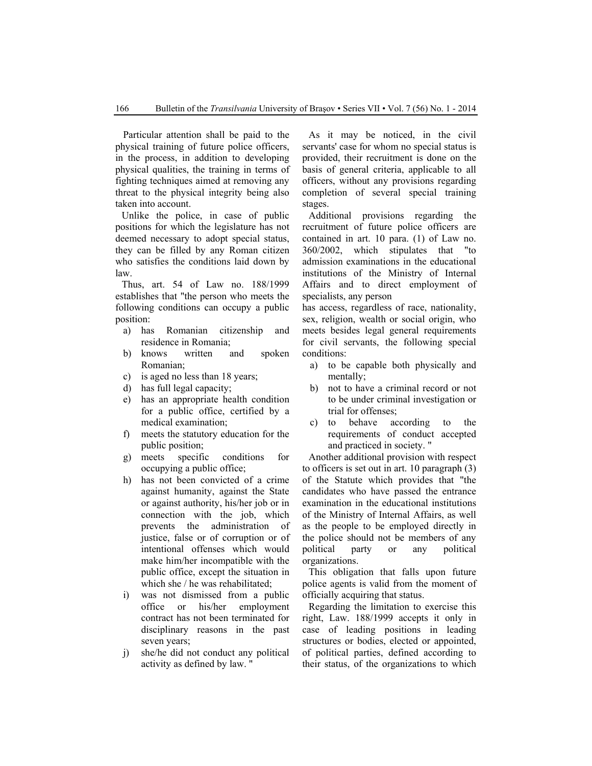Particular attention shall be paid to the physical training of future police officers, in the process, in addition to developing physical qualities, the training in terms of fighting techniques aimed at removing any threat to the physical integrity being also taken into account.

Unlike the police, in case of public positions for which the legislature has not deemed necessary to adopt special status, they can be filled by any Roman citizen who satisfies the conditions laid down by law.

Thus, art. 54 of Law no. 188/1999 establishes that "the person who meets the following conditions can occupy a public position:

- a) has Romanian citizenship and residence in Romania;
- b) knows written and spoken Romanian;
- c) is aged no less than 18 years;
- d) has full legal capacity;
- e) has an appropriate health condition for a public office, certified by a medical examination;
- f) meets the statutory education for the public position;
- g) meets specific conditions for occupying a public office;
- h) has not been convicted of a crime against humanity, against the State or against authority, his/her job or in connection with the job, which prevents the administration of justice, false or of corruption or of intentional offenses which would make him/her incompatible with the public office, except the situation in which she / he was rehabilitated;
- i) was not dismissed from a public office or his/her employment contract has not been terminated for disciplinary reasons in the past seven years;
- j) she/he did not conduct any political activity as defined by law. "

As it may be noticed, in the civil servants' case for whom no special status is provided, their recruitment is done on the basis of general criteria, applicable to all officers, without any provisions regarding completion of several special training stages.

Additional provisions regarding the recruitment of future police officers are contained in art. 10 para. (1) of Law no. 360/2002, which stipulates that "to admission examinations in the educational institutions of the Ministry of Internal Affairs and to direct employment of specialists, any person

has access, regardless of race, nationality, sex, religion, wealth or social origin, who meets besides legal general requirements for civil servants, the following special conditions:

- a) to be capable both physically and mentally;
- b) not to have a criminal record or not to be under criminal investigation or trial for offenses;
- c) to behave according to the requirements of conduct accepted and practiced in society. "

Another additional provision with respect to officers is set out in art. 10 paragraph (3) of the Statute which provides that "the candidates who have passed the entrance examination in the educational institutions of the Ministry of Internal Affairs, as well as the people to be employed directly in the police should not be members of any political party or any political organizations.

This obligation that falls upon future police agents is valid from the moment of officially acquiring that status.

Regarding the limitation to exercise this right, Law. 188/1999 accepts it only in case of leading positions in leading structures or bodies, elected or appointed, of political parties, defined according to their status, of the organizations to which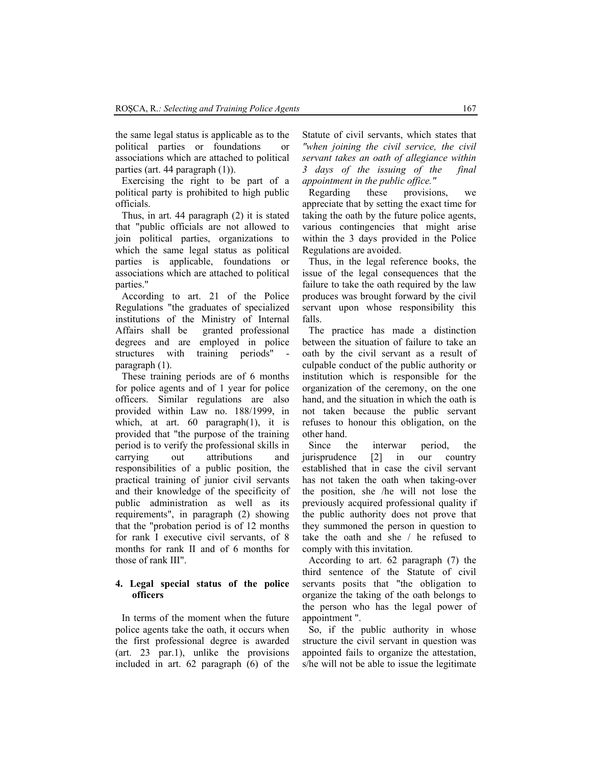the same legal status is applicable as to the political parties or foundations or associations which are attached to political parties (art. 44 paragraph (1)).

Exercising the right to be part of a political party is prohibited to high public officials.

Thus, in art. 44 paragraph (2) it is stated that "public officials are not allowed to join political parties, organizations to which the same legal status as political parties is applicable, foundations or associations which are attached to political parties."

According to art. 21 of the Police Regulations "the graduates of specialized institutions of the Ministry of Internal Affairs shall be granted professional degrees and are employed in police structures with training periods" paragraph (1).

These training periods are of 6 months for police agents and of 1 year for police officers. Similar regulations are also provided within Law no. 188/1999, in which, at art. 60 paragraph(1), it is provided that "the purpose of the training period is to verify the professional skills in carrying out attributions and responsibilities of a public position, the practical training of junior civil servants and their knowledge of the specificity of public administration as well as its requirements", in paragraph (2) showing that the "probation period is of 12 months for rank I executive civil servants, of 8 months for rank II and of 6 months for those of rank III".

#### **4. Legal special status of the police officers**

In terms of the moment when the future police agents take the oath, it occurs when the first professional degree is awarded (art. 23 par.1), unlike the provisions included in art. 62 paragraph (6) of the Statute of civil servants, which states that *"when joining the civil service, the civil servant takes an oath of allegiance within 3 days of the issuing of the final appointment in the public office."*

Regarding these provisions, we appreciate that by setting the exact time for taking the oath by the future police agents, various contingencies that might arise within the 3 days provided in the Police Regulations are avoided.

Thus, in the legal reference books, the issue of the legal consequences that the failure to take the oath required by the law produces was brought forward by the civil servant upon whose responsibility this falls.

The practice has made a distinction between the situation of failure to take an oath by the civil servant as a result of culpable conduct of the public authority or institution which is responsible for the organization of the ceremony, on the one hand, and the situation in which the oath is not taken because the public servant refuses to honour this obligation, on the other hand.

Since the interwar period, the jurisprudence [2] in our country established that in case the civil servant has not taken the oath when taking-over the position, she /he will not lose the previously acquired professional quality if the public authority does not prove that they summoned the person in question to take the oath and she / he refused to comply with this invitation.

According to art. 62 paragraph (7) the third sentence of the Statute of civil servants posits that "the obligation to organize the taking of the oath belongs to the person who has the legal power of appointment ".

So, if the public authority in whose structure the civil servant in question was appointed fails to organize the attestation, s/he will not be able to issue the legitimate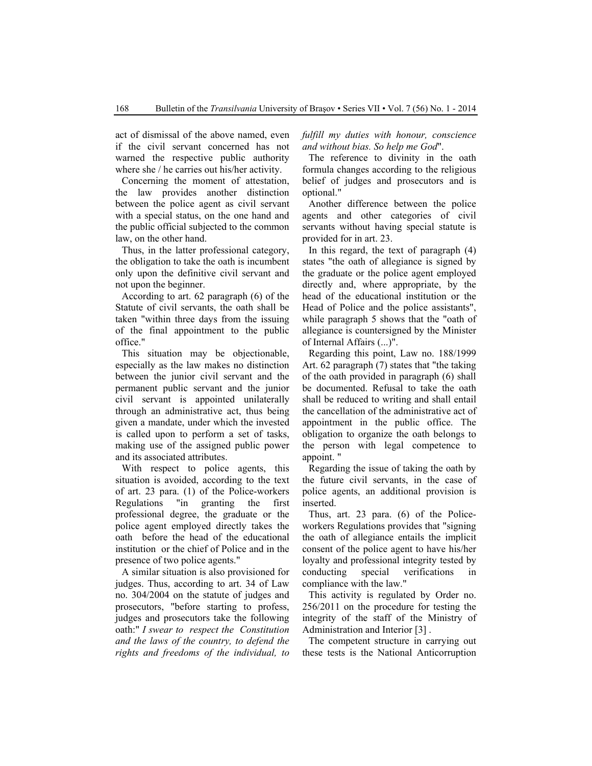act of dismissal of the above named, even if the civil servant concerned has not warned the respective public authority where she / he carries out his/her activity.

Concerning the moment of attestation, the law provides another distinction between the police agent as civil servant with a special status, on the one hand and the public official subjected to the common law, on the other hand.

Thus, in the latter professional category, the obligation to take the oath is incumbent only upon the definitive civil servant and not upon the beginner.

According to art. 62 paragraph (6) of the Statute of civil servants, the oath shall be taken "within three days from the issuing of the final appointment to the public office."

This situation may be objectionable, especially as the law makes no distinction between the junior civil servant and the permanent public servant and the junior civil servant is appointed unilaterally through an administrative act, thus being given a mandate, under which the invested is called upon to perform a set of tasks, making use of the assigned public power and its associated attributes.

With respect to police agents, this situation is avoided, according to the text of art. 23 para. (1) of the Police-workers Regulations "in granting the first professional degree, the graduate or the police agent employed directly takes the oath before the head of the educational institution or the chief of Police and in the presence of two police agents."

A similar situation is also provisioned for judges. Thus, according to art. 34 of Law no. 304/2004 on the statute of judges and prosecutors, "before starting to profess, judges and prosecutors take the following oath:" *I swear to respect the Constitution and the laws of the country, to defend the rights and freedoms of the individual, to*  *fulfill my duties with honour, conscience and without bias. So help me God*".

The reference to divinity in the oath formula changes according to the religious belief of judges and prosecutors and is optional."

Another difference between the police agents and other categories of civil servants without having special statute is provided for in art. 23.

In this regard, the text of paragraph (4) states "the oath of allegiance is signed by the graduate or the police agent employed directly and, where appropriate, by the head of the educational institution or the Head of Police and the police assistants", while paragraph 5 shows that the "oath of allegiance is countersigned by the Minister of Internal Affairs (...)".

Regarding this point, Law no. 188/1999 Art. 62 paragraph (7) states that "the taking of the oath provided in paragraph (6) shall be documented. Refusal to take the oath shall be reduced to writing and shall entail the cancellation of the administrative act of appointment in the public office. The obligation to organize the oath belongs to the person with legal competence to appoint. "

Regarding the issue of taking the oath by the future civil servants, in the case of police agents, an additional provision is inserted.

Thus, art. 23 para. (6) of the Policeworkers Regulations provides that "signing the oath of allegiance entails the implicit consent of the police agent to have his/her loyalty and professional integrity tested by conducting special verifications in compliance with the law."

This activity is regulated by Order no. 256/2011 on the procedure for testing the integrity of the staff of the Ministry of Administration and Interior [3] .

The competent structure in carrying out these tests is the National Anticorruption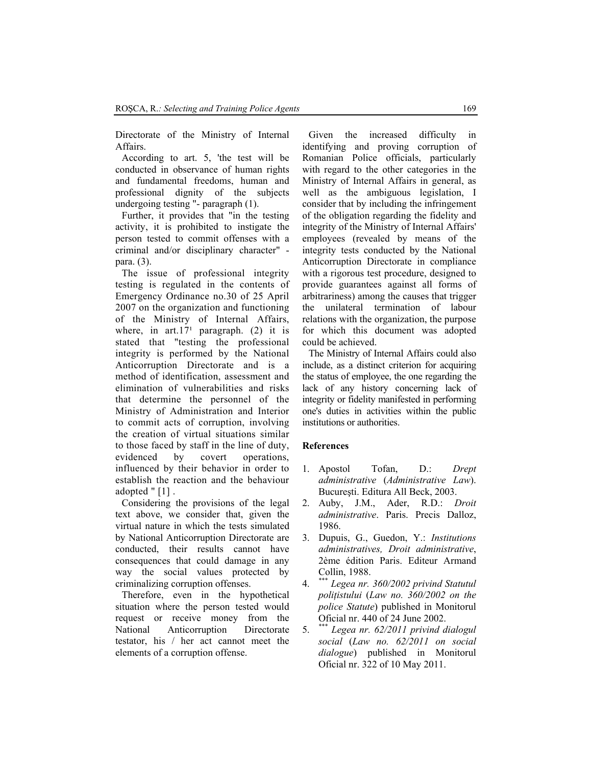Directorate of the Ministry of Internal Affairs.

According to art. 5, 'the test will be conducted in observance of human rights and fundamental freedoms, human and professional dignity of the subjects undergoing testing "- paragraph (1).

Further, it provides that "in the testing activity, it is prohibited to instigate the person tested to commit offenses with a criminal and/or disciplinary character" para. (3).

The issue of professional integrity testing is regulated in the contents of Emergency Ordinance no.30 of 25 April 2007 on the organization and functioning of the Ministry of Internal Affairs, where, in art. $17<sup>1</sup>$  paragraph. (2) it is stated that "testing the professional integrity is performed by the National Anticorruption Directorate and is a method of identification, assessment and elimination of vulnerabilities and risks that determine the personnel of the Ministry of Administration and Interior to commit acts of corruption, involving the creation of virtual situations similar to those faced by staff in the line of duty, evidenced by covert operations, influenced by their behavior in order to establish the reaction and the behaviour adopted " [1] .

Considering the provisions of the legal text above, we consider that, given the virtual nature in which the tests simulated by National Anticorruption Directorate are conducted, their results cannot have consequences that could damage in any way the social values protected by criminalizing corruption offenses.

Therefore, even in the hypothetical situation where the person tested would request or receive money from the National Anticorruption Directorate testator, his / her act cannot meet the elements of a corruption offense.

Given the increased difficulty in identifying and proving corruption of Romanian Police officials, particularly with regard to the other categories in the Ministry of Internal Affairs in general, as well as the ambiguous legislation, I consider that by including the infringement of the obligation regarding the fidelity and integrity of the Ministry of Internal Affairs' employees (revealed by means of the integrity tests conducted by the National Anticorruption Directorate in compliance with a rigorous test procedure, designed to provide guarantees against all forms of arbitrariness) among the causes that trigger the unilateral termination of labour relations with the organization, the purpose for which this document was adopted could be achieved.

The Ministry of Internal Affairs could also include, as a distinct criterion for acquiring the status of employee, the one regarding the lack of any history concerning lack of integrity or fidelity manifested in performing one's duties in activities within the public institutions or authorities.

## **References**

- 1. Apostol Tofan, D.: *Drept administrative* (*Administrative Law*). Bucureşti. Editura All Beck, 2003.
- 2. Auby, J.M., Ader, R.D.: *Droit administrative*. Paris. Precis Dalloz, 1986.
- 3. Dupuis, G., Guedon, Y.: *Institutions administratives, Droit administrative*, 2ème édition Paris. Editeur Armand Collin, 1988.
- 4. \*\*\* *Legea nr. 360/2002 privind Statutul poliţistului* (*Law no. 360/2002 on the police Statute*) published in Monitorul Oficial nr. 440 of 24 June 2002.
- 5. \*\*\* *Legea nr. 62/2011 privind dialogul social* (*Law no. 62/2011 on social dialogue*) published in Monitorul Oficial nr. 322 of 10 May 2011.